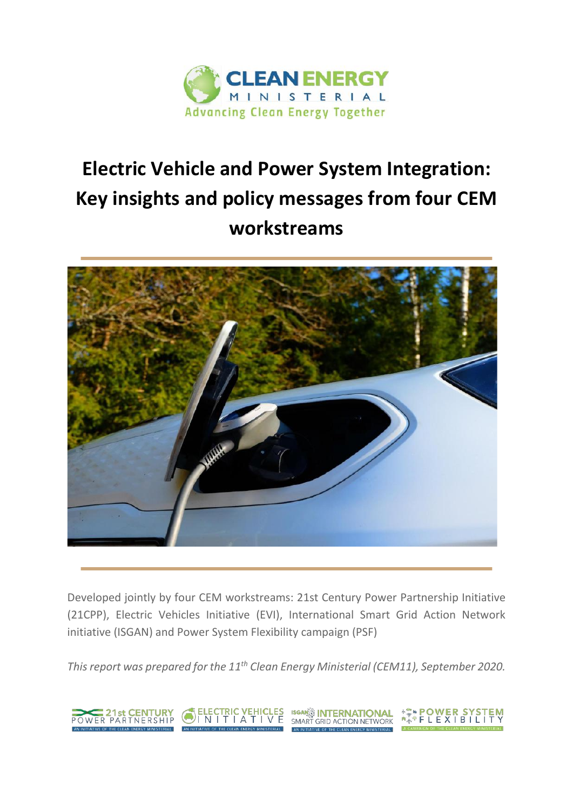

# **Electric Vehicle and Power System Integration: Key insights and policy messages from four CEM workstreams**



Developed jointly by four CEM workstreams: 21st Century Power Partnership Initiative (21CPP), Electric Vehicles Initiative (EVI), International Smart Grid Action Network initiative (ISGAN) and Power System Flexibility campaign (PSF)

*This report was prepared for the 11th Clean Energy Ministerial (CEM11), September 2020.*

**EXAMPLE 21st CENTURY** 

ELECTRIC VEHICLES ISGANS INTERNATIONAL<br>VI N I T I A T I V E SMART GRID ACTION NETWORK A <sup>A</sup> S<sup>A</sup> POWER SYSTEM<br>A A A P L E X I B I L I T Y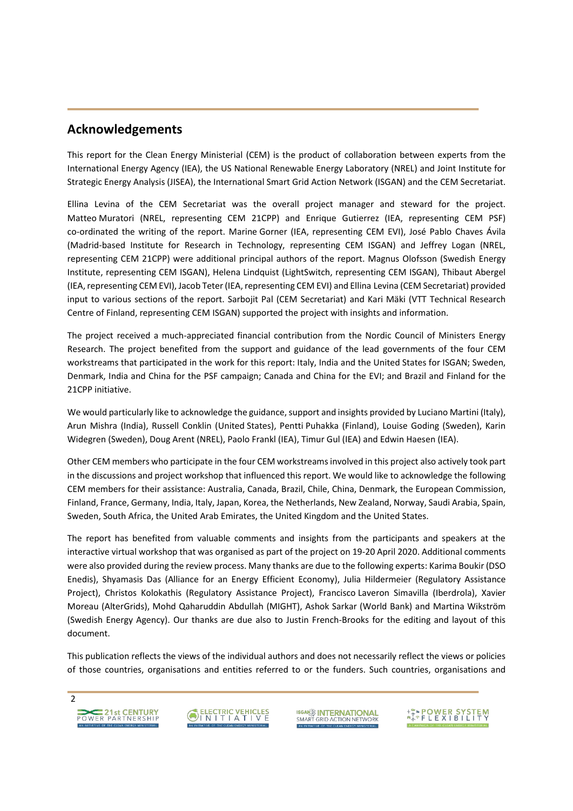### **Acknowledgements**

This report for the Clean Energy Ministerial (CEM) is the product of collaboration between experts from the International Energy Agency (IEA), the US National Renewable Energy Laboratory (NREL) and Joint Institute for Strategic Energy Analysis (JISEA), the International Smart Grid Action Network (ISGAN) and the CEM Secretariat.

Ellina Levina of the CEM Secretariat was the overall project manager and steward for the project. Matteo Muratori (NREL, representing CEM 21CPP) and Enrique Gutierrez (IEA, representing CEM PSF) co-ordinated the writing of the report. Marine Gorner (IEA, representing CEM EVI), José Pablo Chaves Ávila (Madrid-based Institute for Research in Technology, representing CEM ISGAN) and Jeffrey Logan (NREL, representing CEM 21CPP) were additional principal authors of the report. Magnus Olofsson (Swedish Energy Institute, representing CEM ISGAN), Helena Lindquist (LightSwitch, representing CEM ISGAN), Thibaut Abergel (IEA, representing CEM EVI), Jacob Teter (IEA, representing CEM EVI) and Ellina Levina (CEM Secretariat) provided input to various sections of the report. Sarbojit Pal (CEM Secretariat) and Kari Mäki (VTT Technical Research Centre of Finland, representing CEM ISGAN) supported the project with insights and information.

The project received a much-appreciated financial contribution from the Nordic Council of Ministers Energy Research. The project benefited from the support and guidance of the lead governments of the four CEM workstreams that participated in the work for this report: Italy, India and the United States for ISGAN; Sweden, Denmark, India and China for the PSF campaign; Canada and China for the EVI; and Brazil and Finland for the 21CPP initiative.

We would particularly like to acknowledge the guidance, support and insights provided by Luciano Martini (Italy), Arun Mishra (India), Russell Conklin (United States), Pentti Puhakka (Finland), Louise Goding (Sweden), Karin Widegren (Sweden), Doug Arent (NREL), Paolo Frankl (IEA), Timur Gul (IEA) and Edwin Haesen (IEA).

Other CEM members who participate in the four CEM workstreams involved in this project also actively took part in the discussions and project workshop that influenced this report. We would like to acknowledge the following CEM members for their assistance: Australia, Canada, Brazil, Chile, China, Denmark, the European Commission, Finland, France, Germany, India, Italy, Japan, Korea, the Netherlands, New Zealand, Norway, Saudi Arabia, Spain, Sweden, South Africa, the United Arab Emirates, the United Kingdom and the United States.

The report has benefited from valuable comments and insights from the participants and speakers at the interactive virtual workshop that was organised as part of the project on 19-20 April 2020. Additional comments were also provided during the review process. Many thanks are due to the following experts: Karima Boukir (DSO Enedis), Shyamasis Das (Alliance for an Energy Efficient Economy), Julia Hildermeier (Regulatory Assistance Project), Christos Kolokathis (Regulatory Assistance Project), Francisco Laveron Simavilla (Iberdrola), Xavier Moreau (AlterGrids), Mohd Qaharuddin Abdullah (MIGHT), Ashok Sarkar (World Bank) and Martina Wikström (Swedish Energy Agency). Our thanks are due also to Justin French-Brooks for the editing and layout of this document.

This publication reflects the views of the individual authors and does not necessarily reflect the views or policies of those countries, organisations and entities referred to or the funders. Such countries, organisations and





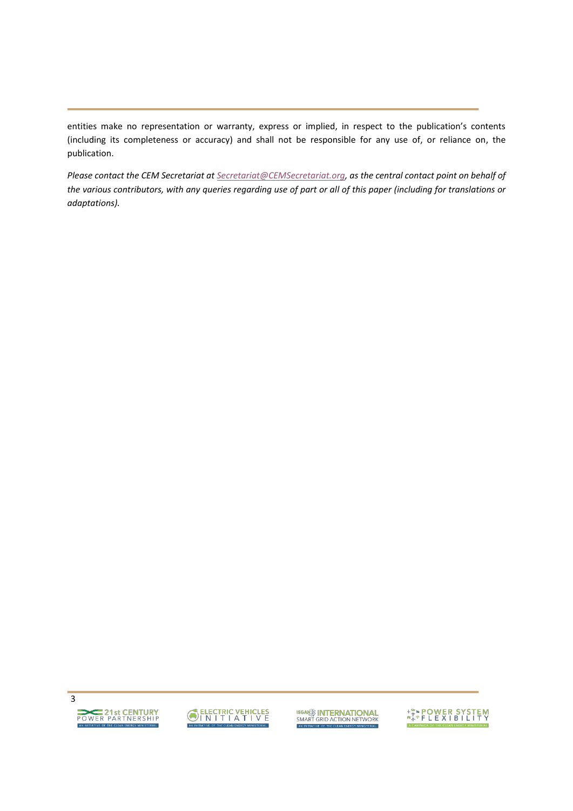entities make no representation or warranty, express or implied, in respect to the publication's contents (including its completeness or accuracy) and shall not be responsible for any use of, or reliance on, the publication.

*Please contact the CEM Secretariat at [Secretariat@CEMSecretariat.org,](mailto:Secretariat@CEMSecretariat.org) as the central contact point on behalf of the various contributors, with any queries regarding use of part or all of this paper (including for translations or adaptations).*





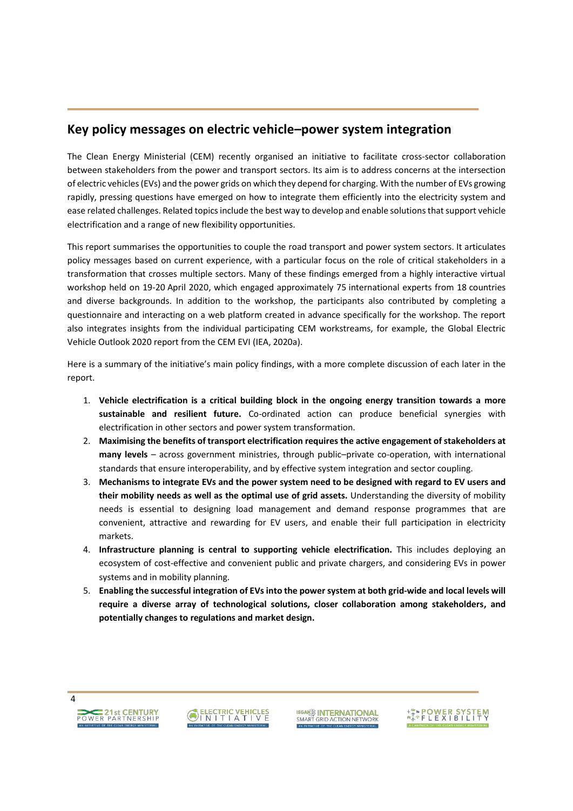### **Key policy messages on electric vehicleʹpower system integration**

The Clean Energy Ministerial (CEM) recently organised an initiative to facilitate cross-sector collaboration between stakeholders from the power and transport sectors. Its aim is to address concerns at the intersection of electric vehicles(EVs) and the power grids on which they depend for charging. With the number of EVs growing rapidly, pressing questions have emerged on how to integrate them efficiently into the electricity system and ease related challenges. Related topics include the best way to develop and enable solutions that support vehicle electrification and a range of new flexibility opportunities.

This report summarises the opportunities to couple the road transport and power system sectors. It articulates policy messages based on current experience, with a particular focus on the role of critical stakeholders in a transformation that crosses multiple sectors. Many of these findings emerged from a highly interactive virtual workshop held on 19-20 April 2020, which engaged approximately 75 international experts from 18 countries and diverse backgrounds. In addition to the workshop, the participants also contributed by completing a questionnaire and interacting on a web platform created in advance specifically for the workshop. The report also integrates insights from the individual participating CEM workstreams, for example, the Global Electric Vehicle Outlook 2020 report from the CEM EVI (IEA, 2020a).

Here is a summary of the initiative's main policy findings, with a more complete discussion of each later in the report.

- 1. **Vehicle electrification is a critical building block in the ongoing energy transition towards a more sustainable and resilient future.** Co-ordinated action can produce beneficial synergies with electrification in other sectors and power system transformation.
- 2. **Maximising the benefits of transport electrification requires the active engagement of stakeholders at many** levels - across government ministries, through public-private co-operation, with international standards that ensure interoperability, and by effective system integration and sector coupling.
- 3. **Mechanisms to integrate EVs and the power system need to be designed with regard to EV users and their mobility needs as well as the optimal use of grid assets.** Understanding the diversity of mobility needs is essential to designing load management and demand response programmes that are convenient, attractive and rewarding for EV users, and enable their full participation in electricity markets.
- 4. **Infrastructure planning is central to supporting vehicle electrification.** This includes deploying an ecosystem of cost-effective and convenient public and private chargers, and considering EVs in power systems and in mobility planning.
- 5. **Enabling the successful integration of EVs into the power system at both grid-wide and local levels will require a diverse array of technological solutions, closer collaboration among stakeholders, and potentially changes to regulations and market design.**





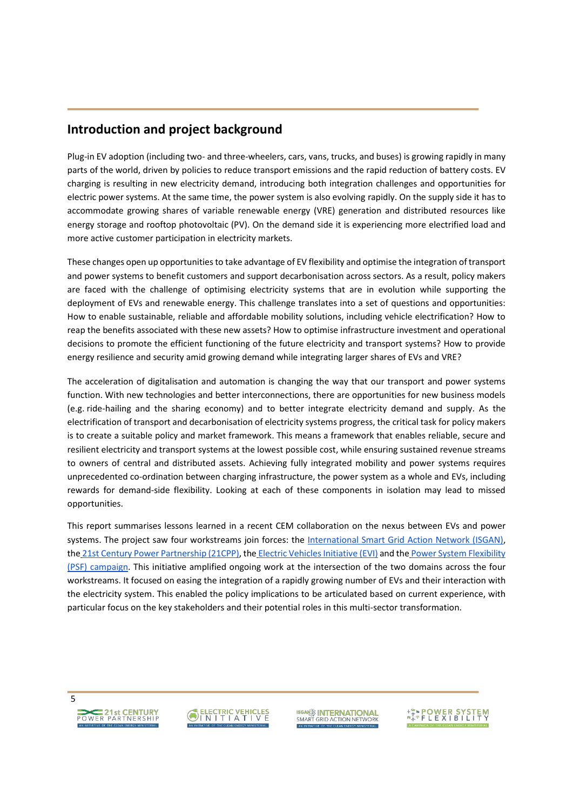### **Introduction and project background**

Plug-in EV adoption (including two- and three-wheelers, cars, vans, trucks, and buses) is growing rapidly in many parts of the world, driven by policies to reduce transport emissions and the rapid reduction of battery costs. EV charging is resulting in new electricity demand, introducing both integration challenges and opportunities for electric power systems. At the same time, the power system is also evolving rapidly. On the supply side it has to accommodate growing shares of variable renewable energy (VRE) generation and distributed resources like energy storage and rooftop photovoltaic (PV). On the demand side it is experiencing more electrified load and more active customer participation in electricity markets.

These changes open up opportunities to take advantage of EV flexibility and optimise the integration of transport and power systems to benefit customers and support decarbonisation across sectors. As a result, policy makers are faced with the challenge of optimising electricity systems that are in evolution while supporting the deployment of EVs and renewable energy. This challenge translates into a set of questions and opportunities: How to enable sustainable, reliable and affordable mobility solutions, including vehicle electrification? How to reap the benefits associated with these new assets? How to optimise infrastructure investment and operational decisions to promote the efficient functioning of the future electricity and transport systems? How to provide energy resilience and security amid growing demand while integrating larger shares of EVs and VRE?

The acceleration of digitalisation and automation is changing the way that our transport and power systems function. With new technologies and better interconnections, there are opportunities for new business models (e.g. ride-hailing and the sharing economy) and to better integrate electricity demand and supply. As the electrification of transport and decarbonisation of electricity systems progress, the critical task for policy makers is to create a suitable policy and market framework. This means a framework that enables reliable, secure and resilient electricity and transport systems at the lowest possible cost, while ensuring sustained revenue streams to owners of central and distributed assets. Achieving fully integrated mobility and power systems requires unprecedented co-ordination between charging infrastructure, the power system as a whole and EVs, including rewards for demand-side flexibility. Looking at each of these components in isolation may lead to missed opportunities.

This report summarises lessons learned in a recent CEM collaboration on the nexus between EVs and power systems. The project saw four workstreams join forces: the [International Smart Grid Action Network \(ISGAN\),](https://www.iea-isgan.org/) the [21st](http://www.cleanenergyministerial.org/initiative-clean-energy-ministerial/21st-century-power-partnership) [Century Power Partnership \(21CPP\),](http://www.cleanenergyministerial.org/initiative-clean-energy-ministerial/21st-century-power-partnership) th[e](http://www.cleanenergyministerial.org/initiative-clean-energy-ministerial/electric-vehicles-initiative) [Electric Vehicles Initiative \(EVI\)](http://www.cleanenergyministerial.org/initiative-clean-energy-ministerial/electric-vehicles-initiative) and th[e](http://www.cleanenergyministerial.org/campaign-clean-energy-ministerial/power-system-flexibility) [Power System Flexibility](http://www.cleanenergyministerial.org/campaign-clean-energy-ministerial/power-system-flexibility)  [\(PSF\) campaign.](http://www.cleanenergyministerial.org/campaign-clean-energy-ministerial/power-system-flexibility) This initiative amplified ongoing work at the intersection of the two domains across the four workstreams. It focused on easing the integration of a rapidly growing number of EVs and their interaction with the electricity system. This enabled the policy implications to be articulated based on current experience, with particular focus on the key stakeholders and their potential roles in this multi-sector transformation.





**ISGANE INTERNATIONAL**<br>SMART GRID ACTION NETWORK

**ARAPOWER SYSTEM**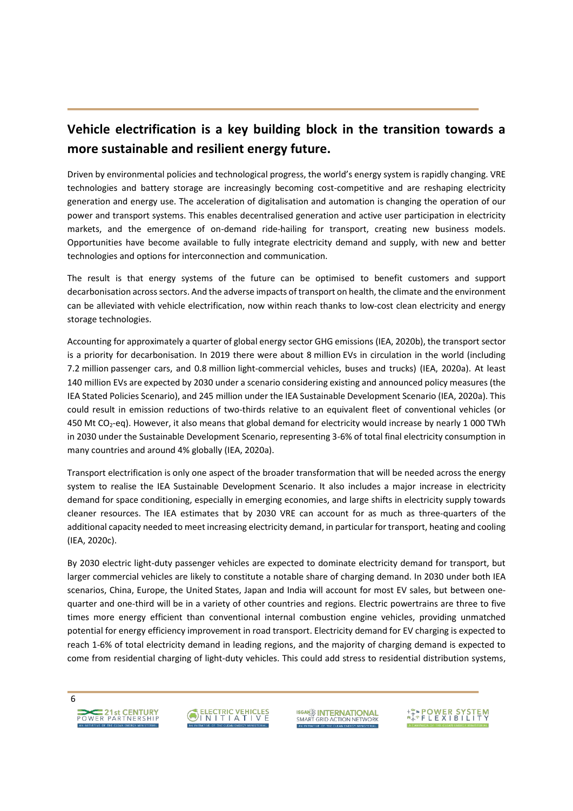## **Vehicle electrification is a key building block in the transition towards a more sustainable and resilient energy future.**

Driven by environmental policies and technological progress, the world's energy system is rapidly changing. VRE technologies and battery storage are increasingly becoming cost-competitive and are reshaping electricity generation and energy use. The acceleration of digitalisation and automation is changing the operation of our power and transport systems. This enables decentralised generation and active user participation in electricity markets, and the emergence of on-demand ride-hailing for transport, creating new business models. Opportunities have become available to fully integrate electricity demand and supply, with new and better technologies and options for interconnection and communication.

The result is that energy systems of the future can be optimised to benefit customers and support decarbonisation across sectors. And the adverse impacts of transport on health, the climate and the environment can be alleviated with vehicle electrification, now within reach thanks to low-cost clean electricity and energy storage technologies.

Accounting for approximately a quarter of global energy sector GHG emissions (IEA, 2020b), the transport sector is a priority for decarbonisation. In 2019 there were about 8 million EVs in circulation in the world (including 7.2 million passenger cars, and 0.8 million light-commercial vehicles, buses and trucks) (IEA, 2020a). At least 140 million EVs are expected by 2030 under a scenario considering existing and announced policy measures (the IEA Stated Policies Scenario), and 245 million under the IEA Sustainable Development Scenario (IEA, 2020a). This could result in emission reductions of two-thirds relative to an equivalent fleet of conventional vehicles (or 450 Mt CO2-eq). However, it also means that global demand for electricity would increase by nearly 1 000 TWh in 2030 under the Sustainable Development Scenario, representing 3-6% of total final electricity consumption in many countries and around 4% globally (IEA, 2020a).

Transport electrification is only one aspect of the broader transformation that will be needed across the energy system to realise the IEA Sustainable Development Scenario. It also includes a major increase in electricity demand for space conditioning, especially in emerging economies, and large shifts in electricity supply towards cleaner resources. The IEA estimates that by 2030 VRE can account for as much as three-quarters of the additional capacity needed to meet increasing electricity demand, in particular for transport, heating and cooling (IEA, 2020c).

By 2030 electric light-duty passenger vehicles are expected to dominate electricity demand for transport, but larger commercial vehicles are likely to constitute a notable share of charging demand. In 2030 under both IEA scenarios, China, Europe, the United States, Japan and India will account for most EV sales, but between onequarter and one-third will be in a variety of other countries and regions. Electric powertrains are three to five times more energy efficient than conventional internal combustion engine vehicles, providing unmatched potential for energy efficiency improvement in road transport. Electricity demand for EV charging is expected to reach 1-6% of total electricity demand in leading regions, and the majority of charging demand is expected to come from residential charging of light-duty vehicles. This could add stress to residential distribution systems,





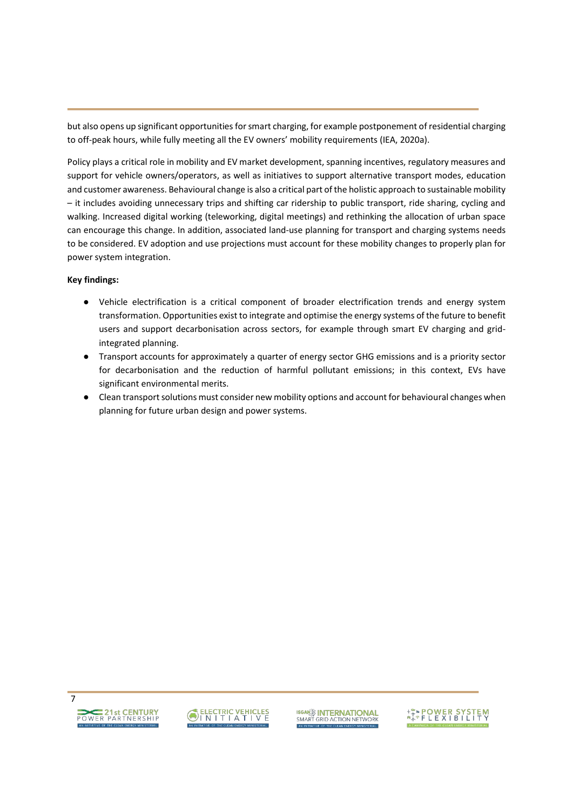but also opens up significant opportunities for smart charging, for example postponement of residential charging to off-peak hours, while fully meeting all the EV owners' mobility requirements (IEA, 2020a).

Policy plays a critical role in mobility and EV market development, spanning incentives, regulatory measures and support for vehicle owners/operators, as well as initiatives to support alternative transport modes, education and customer awareness. Behavioural change is also a critical part of the holistic approach to sustainable mobility - it includes avoiding unnecessary trips and shifting car ridership to public transport, ride sharing, cycling and walking. Increased digital working (teleworking, digital meetings) and rethinking the allocation of urban space can encourage this change. In addition, associated land-use planning for transport and charging systems needs to be considered. EV adoption and use projections must account for these mobility changes to properly plan for power system integration.

#### **Key findings:**

- භ Vehicle electrification is a critical component of broader electrification trends and energy system transformation. Opportunities exist to integrate and optimise the energy systems of the future to benefit users and support decarbonisation across sectors, for example through smart EV charging and gridintegrated planning.
- භ Transport accounts for approximately a quarter of energy sector GHG emissions and is a priority sector for decarbonisation and the reduction of harmful pollutant emissions; in this context, EVs have significant environmental merits.
- භ Clean transport solutions must consider new mobility options and account for behavioural changes when planning for future urban design and power systems.

7



**ISGAN<sup>22</sup> INTERNATIONAL**<br>SMART GRID ACTION NETWORK

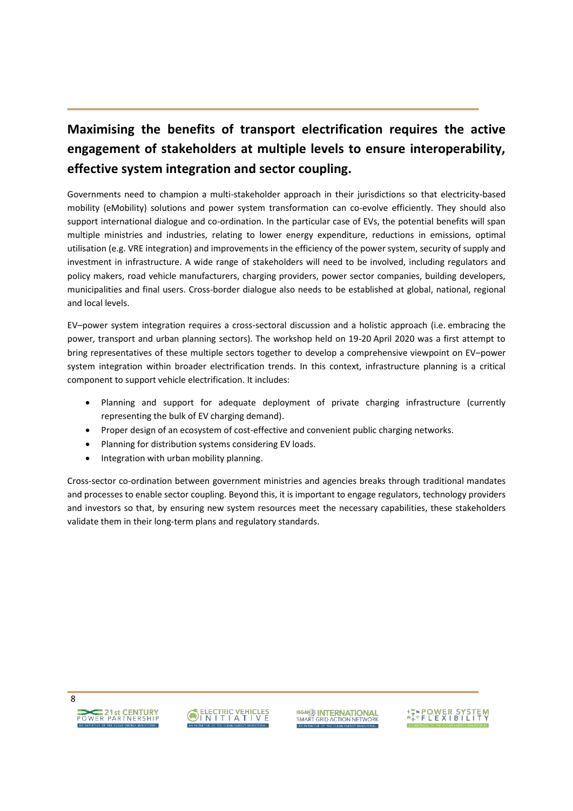# **Maximising the benefits of transport electrification requires the active engagement of stakeholders at multiple levels to ensure interoperability, effective system integration and sector coupling.**

Governments need to champion a multi-stakeholder approach in their jurisdictions so that electricity-based mobility (eMobility) solutions and power system transformation can co-evolve efficiently. They should also support international dialogue and co-ordination. In the particular case of EVs, the potential benefits will span multiple ministries and industries, relating to lower energy expenditure, reductions in emissions, optimal utilisation (e.g. VRE integration) and improvements in the efficiency of the power system, security of supply and investment in infrastructure. A wide range of stakeholders will need to be involved, including regulators and policy makers, road vehicle manufacturers, charging providers, power sector companies, building developers, municipalities and final users. Cross-border dialogue also needs to be established at global, national, regional and local levels.

EV-power system integration requires a cross-sectoral discussion and a holistic approach (i.e. embracing the power, transport and urban planning sectors). The workshop held on 19-20 April 2020 was a first attempt to bring representatives of these multiple sectors together to develop a comprehensive viewpoint on EV-power system integration within broader electrification trends. In this context, infrastructure planning is a critical component to support vehicle electrification. It includes:

- Planning and support for adequate deployment of private charging infrastructure (currently representing the bulk of EV charging demand).
- Proper design of an ecosystem of cost-effective and convenient public charging networks.
- Planning for distribution systems considering EV loads.
- Integration with urban mobility planning.

Cross-sector co-ordination between government ministries and agencies breaks through traditional mandates and processes to enable sector coupling. Beyond this, it is important to engage regulators, technology providers and investors so that, by ensuring new system resources meet the necessary capabilities, these stakeholders validate them in their long-term plans and regulatory standards.



```
POWER PARTNERSHIP
```


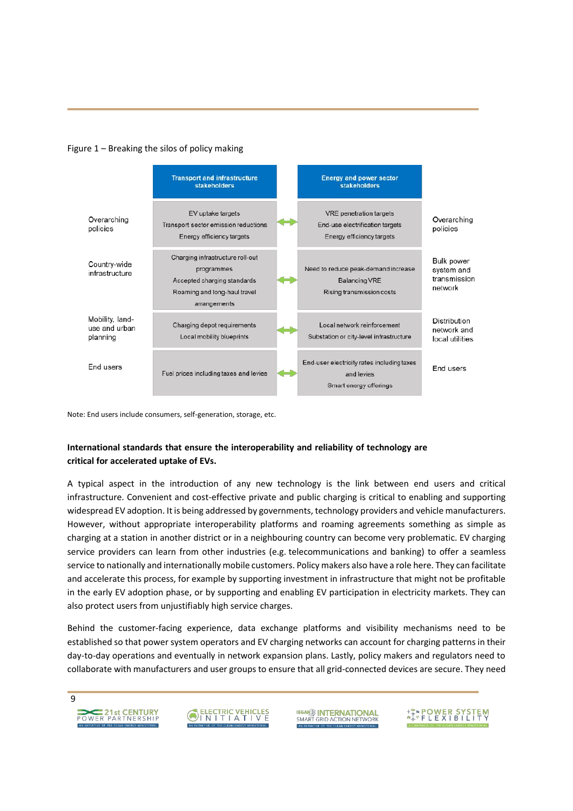



Note: End users include consumers, self-generation, storage, etc.

### **International standards that ensure the interoperability and reliability of technology are critical for accelerated uptake of EVs.**

A typical aspect in the introduction of any new technology is the link between end users and critical infrastructure. Convenient and cost-effective private and public charging is critical to enabling and supporting widespread EV adoption. It is being addressed by governments, technology providers and vehicle manufacturers. However, without appropriate interoperability platforms and roaming agreements something as simple as charging at a station in another district or in a neighbouring country can become very problematic. EV charging service providers can learn from other industries (e.g. telecommunications and banking) to offer a seamless service to nationally and internationally mobile customers. Policy makers also have a role here. They can facilitate and accelerate this process, for example by supporting investment in infrastructure that might not be profitable in the early EV adoption phase, or by supporting and enabling EV participation in electricity markets. They can also protect users from unjustifiably high service charges.

Behind the customer-facing experience, data exchange platforms and visibility mechanisms need to be established so that power system operators and EV charging networks can account for charging patterns in their day-to-day operations and eventually in network expansion plans. Lastly, policy makers and regulators need to collaborate with manufacturers and user groups to ensure that all grid-connected devices are secure. They need

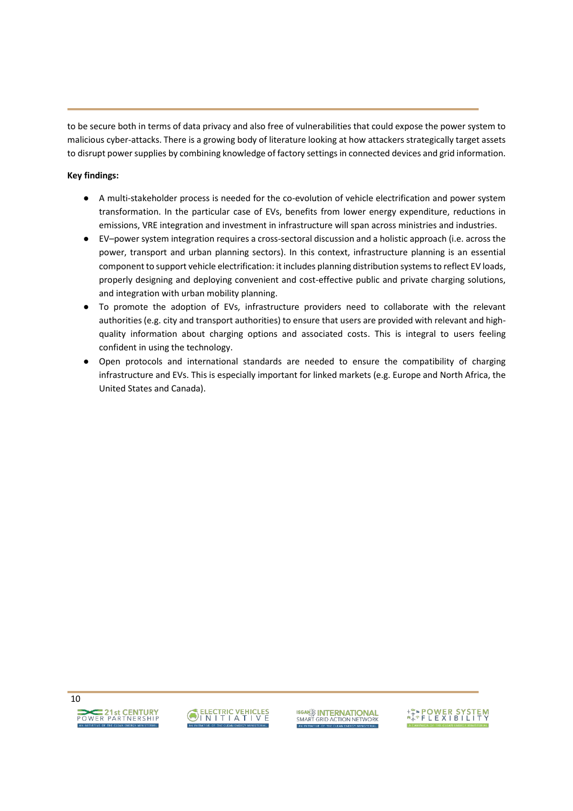to be secure both in terms of data privacy and also free of vulnerabilities that could expose the power system to malicious cyber-attacks. There is a growing body of literature looking at how attackers strategically target assets to disrupt power supplies by combining knowledge of factory settings in connected devices and grid information.

#### **Key findings:**

- භ A multi-stakeholder process is needed for the co-evolution of vehicle electrification and power system transformation. In the particular case of EVs, benefits from lower energy expenditure, reductions in emissions, VRE integration and investment in infrastructure will span across ministries and industries.
- EV-power system integration requires a cross-sectoral discussion and a holistic approach (i.e. across the power, transport and urban planning sectors). In this context, infrastructure planning is an essential component to support vehicle electrification: it includes planning distribution systems to reflect EV loads, properly designing and deploying convenient and cost-effective public and private charging solutions, and integration with urban mobility planning.
- Ɣ To promote the adoption of EVs, infrastructure providers need to collaborate with the relevant authorities (e.g. city and transport authorities) to ensure that users are provided with relevant and highquality information about charging options and associated costs. This is integral to users feeling confident in using the technology.
- භ Open protocols and international standards are needed to ensure the compatibility of charging infrastructure and EVs. This is especially important for linked markets (e.g. Europe and North Africa, the United States and Canada).



**ISGAN<sup>22</sup> INTERNATIONAL**<br>SMART GRID ACTION NETWORK

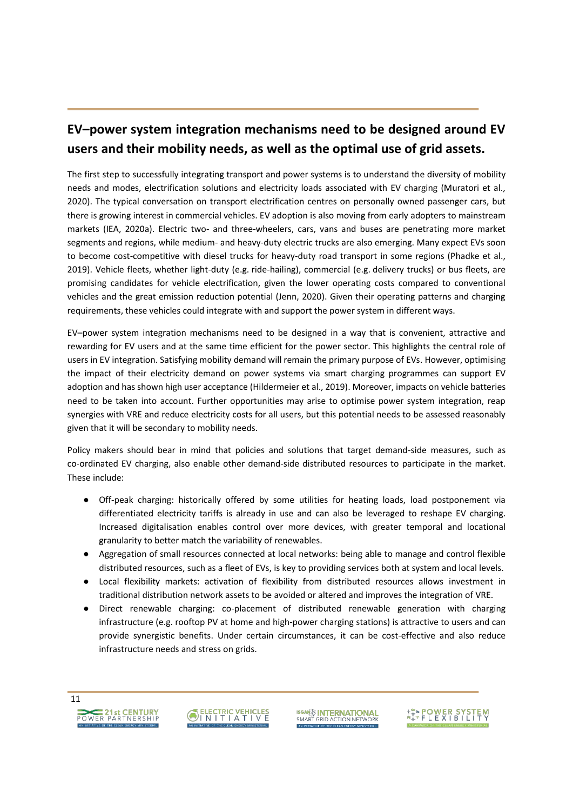# **EVʹpower system integration mechanisms need to be designed around EV users and their mobility needs, as well as the optimal use of grid assets.**

The first step to successfully integrating transport and power systems is to understand the diversity of mobility needs and modes, electrification solutions and electricity loads associated with EV charging (Muratori et al., 2020). The typical conversation on transport electrification centres on personally owned passenger cars, but there is growing interest in commercial vehicles. EV adoption is also moving from early adopters to mainstream markets (IEA, 2020a). Electric two- and three-wheelers, cars, vans and buses are penetrating more market segments and regions, while medium- and heavy-duty electric trucks are also emerging. Many expect EVs soon to become cost-competitive with diesel trucks for heavy-duty road transport in some regions (Phadke et al., 2019). Vehicle fleets, whether light-duty (e.g. ride-hailing), commercial (e.g. delivery trucks) or bus fleets, are promising candidates for vehicle electrification, given the lower operating costs compared to conventional vehicles and the great emission reduction potential (Jenn, 2020). Given their operating patterns and charging requirements, these vehicles could integrate with and support the power system in different ways.

EV-power system integration mechanisms need to be designed in a way that is convenient, attractive and rewarding for EV users and at the same time efficient for the power sector. This highlights the central role of users in EV integration. Satisfying mobility demand will remain the primary purpose of EVs. However, optimising the impact of their electricity demand on power systems via smart charging programmes can support EV adoption and has shown high user acceptance (Hildermeier et al., 2019). Moreover, impacts on vehicle batteries need to be taken into account. Further opportunities may arise to optimise power system integration, reap synergies with VRE and reduce electricity costs for all users, but this potential needs to be assessed reasonably given that it will be secondary to mobility needs.

Policy makers should bear in mind that policies and solutions that target demand-side measures, such as co-ordinated EV charging, also enable other demand-side distributed resources to participate in the market. These include:

- Off-peak charging: historically offered by some utilities for heating loads, load postponement via differentiated electricity tariffs is already in use and can also be leveraged to reshape EV charging. Increased digitalisation enables control over more devices, with greater temporal and locational granularity to better match the variability of renewables.
- භ Aggregation of small resources connected at local networks: being able to manage and control flexible distributed resources, such as a fleet of EVs, is key to providing services both at system and local levels.
- භ Local flexibility markets: activation of flexibility from distributed resources allows investment in traditional distribution network assets to be avoided or altered and improves the integration of VRE.
- භ Direct renewable charging: co-placement of distributed renewable generation with charging infrastructure (e.g. rooftop PV at home and high-power charging stations) is attractive to users and can provide synergistic benefits. Under certain circumstances, it can be cost-effective and also reduce infrastructure needs and stress on grids.

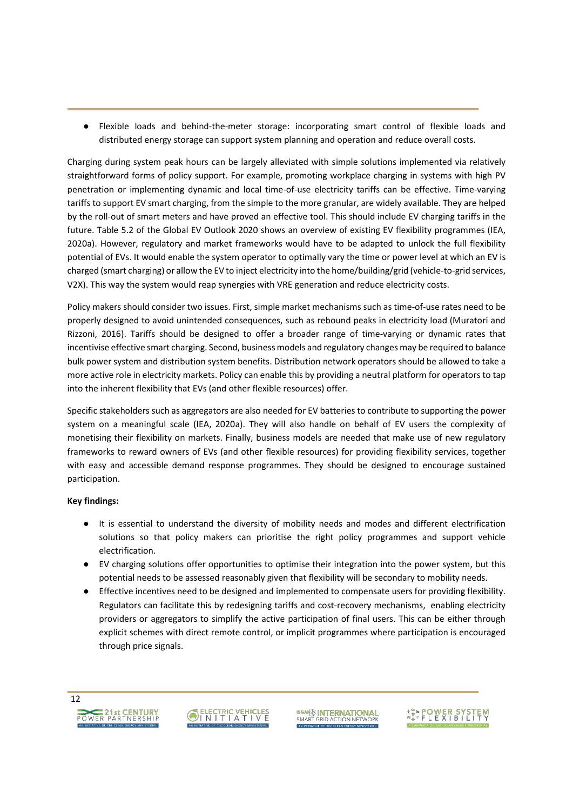භ Flexible loads and behind-the-meter storage: incorporating smart control of flexible loads and distributed energy storage can support system planning and operation and reduce overall costs.

Charging during system peak hours can be largely alleviated with simple solutions implemented via relatively straightforward forms of policy support. For example, promoting workplace charging in systems with high PV penetration or implementing dynamic and local time-of-use electricity tariffs can be effective. Time-varying tariffs to support EV smart charging, from the simple to the more granular, are widely available. They are helped by the roll-out of smart meters and have proved an effective tool. This should include EV charging tariffs in the future. Table 5.2 of the Global EV Outlook 2020 shows an overview of existing EV flexibility programmes (IEA, 2020a). However, regulatory and market frameworks would have to be adapted to unlock the full flexibility potential of EVs. It would enable the system operator to optimally vary the time or power level at which an EV is charged (smart charging) or allow the EV to inject electricity into the home/building/grid (vehicle-to-grid services, V2X). This way the system would reap synergies with VRE generation and reduce electricity costs.

Policy makers should consider two issues. First, simple market mechanisms such as time-of-use rates need to be properly designed to avoid unintended consequences, such as rebound peaks in electricity load (Muratori and Rizzoni, 2016). Tariffs should be designed to offer a broader range of time-varying or dynamic rates that incentivise effective smart charging. Second, business models and regulatory changes may be required to balance bulk power system and distribution system benefits. Distribution network operators should be allowed to take a more active role in electricity markets. Policy can enable this by providing a neutral platform for operators to tap into the inherent flexibility that EVs (and other flexible resources) offer.

Specific stakeholders such as aggregators are also needed for EV batteries to contribute to supporting the power system on a meaningful scale (IEA, 2020a). They will also handle on behalf of EV users the complexity of monetising their flexibility on markets. Finally, business models are needed that make use of new regulatory frameworks to reward owners of EVs (and other flexible resources) for providing flexibility services, together with easy and accessible demand response programmes. They should be designed to encourage sustained participation.

#### **Key findings:**

- භ It is essential to understand the diversity of mobility needs and modes and different electrification solutions so that policy makers can prioritise the right policy programmes and support vehicle electrification.
- භ EV charging solutions offer opportunities to optimise their integration into the power system, but this potential needs to be assessed reasonably given that flexibility will be secondary to mobility needs.
- Effective incentives need to be designed and implemented to compensate users for providing flexibility. Regulators can facilitate this by redesigning tariffs and cost-recovery mechanisms, enabling electricity providers or aggregators to simplify the active participation of final users. This can be either through explicit schemes with direct remote control, or implicit programmes where participation is encouraged through price signals.



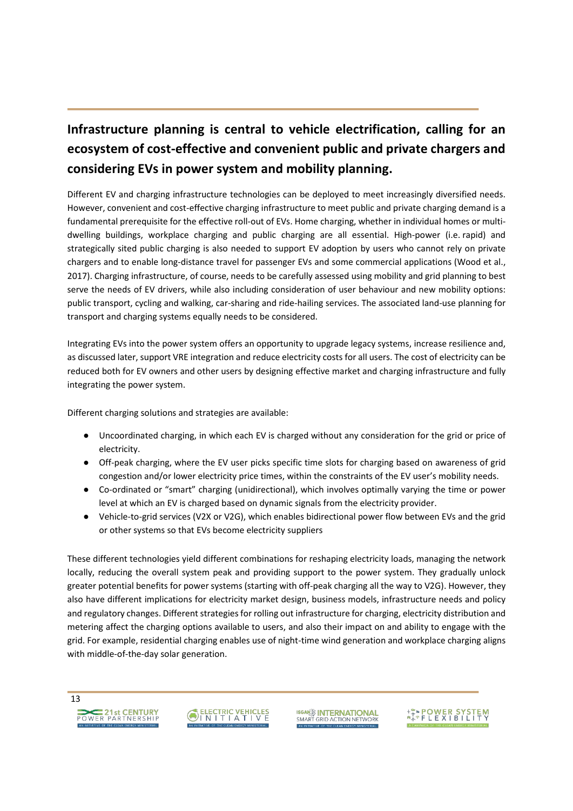# **Infrastructure planning is central to vehicle electrification, calling for an ecosystem of cost-effective and convenient public and private chargers and considering EVs in power system and mobility planning.**

Different EV and charging infrastructure technologies can be deployed to meet increasingly diversified needs. However, convenient and cost-effective charging infrastructure to meet public and private charging demand is a fundamental prerequisite for the effective roll-out of EVs. Home charging, whether in individual homes or multidwelling buildings, workplace charging and public charging are all essential. High-power (i.e. rapid) and strategically sited public charging is also needed to support EV adoption by users who cannot rely on private chargers and to enable long-distance travel for passenger EVs and some commercial applications (Wood et al., 2017). Charging infrastructure, of course, needs to be carefully assessed using mobility and grid planning to best serve the needs of EV drivers, while also including consideration of user behaviour and new mobility options: public transport, cycling and walking, car-sharing and ride-hailing services. The associated land-use planning for transport and charging systems equally needs to be considered.

Integrating EVs into the power system offers an opportunity to upgrade legacy systems, increase resilience and, as discussed later, support VRE integration and reduce electricity costs for all users. The cost of electricity can be reduced both for EV owners and other users by designing effective market and charging infrastructure and fully integrating the power system.

Different charging solutions and strategies are available:

- භ Uncoordinated charging, in which each EV is charged without any consideration for the grid or price of electricity.
- භ Off-peak charging, where the EV user picks specific time slots for charging based on awareness of grid congestion and/or lower electricity price times, within the constraints of the EV user's mobility needs.
- Co-ordinated or "smart" charging (unidirectional), which involves optimally varying the time or power level at which an EV is charged based on dynamic signals from the electricity provider.
- Vehicle-to-grid services (V2X or V2G), which enables bidirectional power flow between EVs and the grid or other systems so that EVs become electricity suppliers

These different technologies yield different combinations for reshaping electricity loads, managing the network locally, reducing the overall system peak and providing support to the power system. They gradually unlock greater potential benefits for power systems (starting with off-peak charging all the way to V2G). However, they also have different implications for electricity market design, business models, infrastructure needs and policy and regulatory changes. Different strategies for rolling out infrastructure for charging, electricity distribution and metering affect the charging options available to users, and also their impact on and ability to engage with the grid. For example, residential charging enables use of night-time wind generation and workplace charging aligns with middle-of-the-day solar generation.



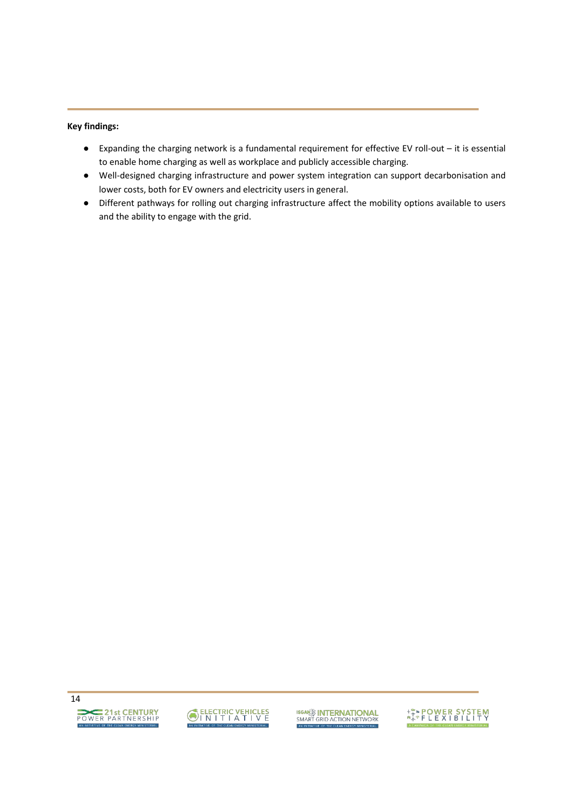#### **Key findings:**

- Expanding the charging network is a fundamental requirement for effective EV roll-out it is essential to enable home charging as well as workplace and publicly accessible charging.
- භ Well-designed charging infrastructure and power system integration can support decarbonisation and lower costs, both for EV owners and electricity users in general.
- භ Different pathways for rolling out charging infrastructure affect the mobility options available to users and the ability to engage with the grid.



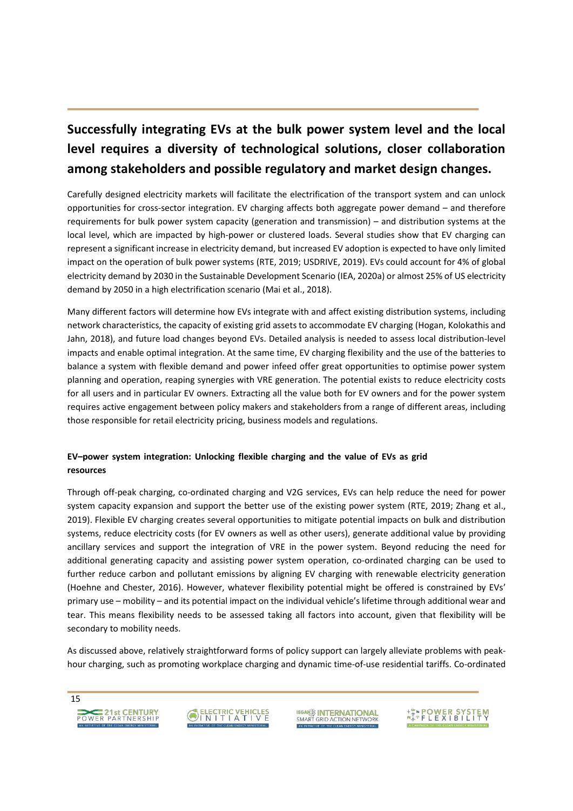# **Successfully integrating EVs at the bulk power system level and the local level requires a diversity of technological solutions, closer collaboration among stakeholders and possible regulatory and market design changes.**

Carefully designed electricity markets will facilitate the electrification of the transport system and can unlock opportunities for cross-sector integration. EV charging affects both aggregate power demand – and therefore requirements for bulk power system capacity (generation and transmission) – and distribution systems at the local level, which are impacted by high-power or clustered loads. Several studies show that EV charging can represent a significant increase in electricity demand, but increased EV adoption is expected to have only limited impact on the operation of bulk power systems (RTE, 2019; USDRIVE, 2019). EVs could account for 4% of global electricity demand by 2030 in the Sustainable Development Scenario (IEA, 2020a) or almost 25% of US electricity demand by 2050 in a high electrification scenario (Mai et al., 2018).

Many different factors will determine how EVs integrate with and affect existing distribution systems, including network characteristics, the capacity of existing grid assets to accommodate EV charging (Hogan, Kolokathis and Jahn, 2018), and future load changes beyond EVs. Detailed analysis is needed to assess local distribution-level impacts and enable optimal integration. At the same time, EV charging flexibility and the use of the batteries to balance a system with flexible demand and power infeed offer great opportunities to optimise power system planning and operation, reaping synergies with VRE generation. The potential exists to reduce electricity costs for all users and in particular EV owners. Extracting all the value both for EV owners and for the power system requires active engagement between policy makers and stakeholders from a range of different areas, including those responsible for retail electricity pricing, business models and regulations.

#### **EV-power system integration: Unlocking flexible charging and the value of EVs as grid resources**

Through off-peak charging, co-ordinated charging and V2G services, EVs can help reduce the need for power system capacity expansion and support the better use of the existing power system (RTE, 2019; Zhang et al., 2019). Flexible EV charging creates several opportunities to mitigate potential impacts on bulk and distribution systems, reduce electricity costs (for EV owners as well as other users), generate additional value by providing ancillary services and support the integration of VRE in the power system. Beyond reducing the need for additional generating capacity and assisting power system operation, co-ordinated charging can be used to further reduce carbon and pollutant emissions by aligning EV charging with renewable electricity generation (Hoehne and Chester, 2016). However, whatever flexibility potential might be offered is constrained by EVs' primary use – mobility – and its potential impact on the individual vehicle's lifetime through additional wear and tear. This means flexibility needs to be assessed taking all factors into account, given that flexibility will be secondary to mobility needs.

As discussed above, relatively straightforward forms of policy support can largely alleviate problems with peakhour charging, such as promoting workplace charging and dynamic time-of-use residential tariffs. Co-ordinated

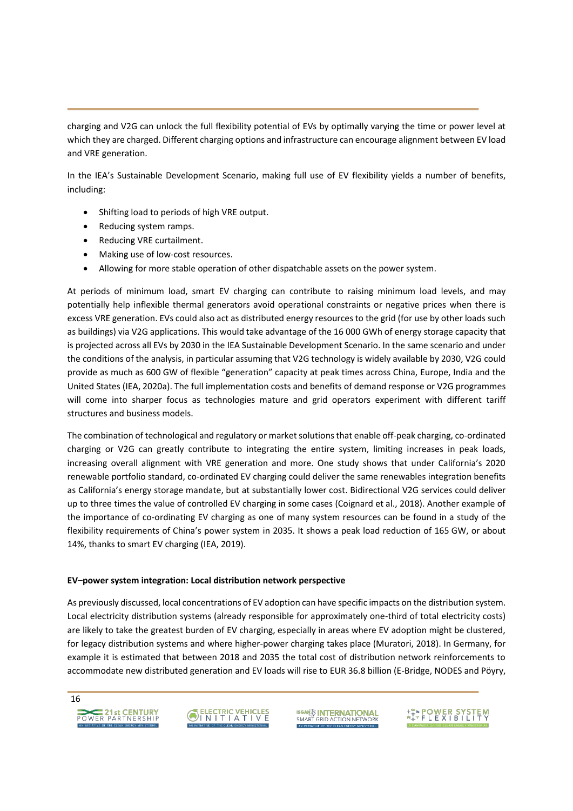charging and V2G can unlock the full flexibility potential of EVs by optimally varying the time or power level at which they are charged. Different charging options and infrastructure can encourage alignment between EV load and VRE generation.

In the IEA's Sustainable Development Scenario, making full use of EV flexibility yields a number of benefits, including:

- Shifting load to periods of high VRE output.
- Reducing system ramps.
- Reducing VRE curtailment.
- Making use of low-cost resources.
- Allowing for more stable operation of other dispatchable assets on the power system.

At periods of minimum load, smart EV charging can contribute to raising minimum load levels, and may potentially help inflexible thermal generators avoid operational constraints or negative prices when there is excess VRE generation. EVs could also act as distributed energy resources to the grid (for use by other loads such as buildings) via V2G applications. This would take advantage of the 16 000 GWh of energy storage capacity that is projected across all EVs by 2030 in the IEA Sustainable Development Scenario. In the same scenario and under the conditions of the analysis, in particular assuming that V2G technology is widely available by 2030, V2G could provide as much as 600 GW of flexible "generation" capacity at peak times across China, Europe, India and the United States (IEA, 2020a). The full implementation costs and benefits of demand response or V2G programmes will come into sharper focus as technologies mature and grid operators experiment with different tariff structures and business models.

The combination of technological and regulatory or market solutions that enable off-peak charging, co-ordinated charging or V2G can greatly contribute to integrating the entire system, limiting increases in peak loads, increasing overall alignment with VRE generation and more. One study shows that under California's 2020 renewable portfolio standard, co-ordinated EV charging could deliver the same renewables integration benefits as California's energy storage mandate, but at substantially lower cost. Bidirectional V2G services could deliver up to three times the value of controlled EV charging in some cases (Coignard et al., 2018). Another example of the importance of co-ordinating EV charging as one of many system resources can be found in a study of the flexibility requirements of China's power system in 2035. It shows a peak load reduction of 165 GW, or about 14%, thanks to smart EV charging (IEA, 2019).

#### **EVʹpower system integration: Local distribution network perspective**

As previously discussed, local concentrations of EV adoption can have specific impacts on the distribution system. Local electricity distribution systems (already responsible for approximately one-third of total electricity costs) are likely to take the greatest burden of EV charging, especially in areas where EV adoption might be clustered, for legacy distribution systems and where higher-power charging takes place (Muratori, 2018). In Germany, for example it is estimated that between 2018 and 2035 the total cost of distribution network reinforcements to accommodate new distributed generation and EV loads will rise to EUR 36.8 billion (E-Bridge, NODES and Pöyry,





**ISGANE INTERNATIONAL**<br>SMART GRID ACTION NETWORK

**ASA POWER SYSTEM**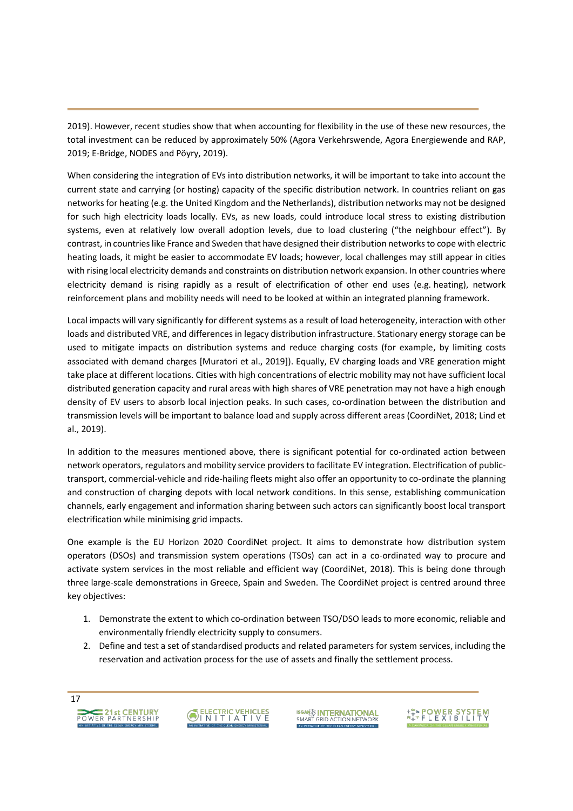2019). However, recent studies show that when accounting for flexibility in the use of these new resources, the total investment can be reduced by approximately 50% (Agora Verkehrswende, Agora Energiewende and RAP, 2019; E-Bridge, NODES and Pöyry, 2019).

When considering the integration of EVs into distribution networks, it will be important to take into account the current state and carrying (or hosting) capacity of the specific distribution network. In countries reliant on gas networks for heating (e.g. the United Kingdom and the Netherlands), distribution networks may not be designed for such high electricity loads locally. EVs, as new loads, could introduce local stress to existing distribution systems, even at relatively low overall adoption levels, due to load clustering ("the neighbour effect"). By contrast, in countries like France and Sweden that have designed their distribution networks to cope with electric heating loads, it might be easier to accommodate EV loads; however, local challenges may still appear in cities with rising local electricity demands and constraints on distribution network expansion. In other countries where electricity demand is rising rapidly as a result of electrification of other end uses (e.g. heating), network reinforcement plans and mobility needs will need to be looked at within an integrated planning framework.

Local impacts will vary significantly for different systems as a result of load heterogeneity, interaction with other loads and distributed VRE, and differences in legacy distribution infrastructure. Stationary energy storage can be used to mitigate impacts on distribution systems and reduce charging costs (for example, by limiting costs associated with demand charges [Muratori et al., 2019]). Equally, EV charging loads and VRE generation might take place at different locations. Cities with high concentrations of electric mobility may not have sufficient local distributed generation capacity and rural areas with high shares of VRE penetration may not have a high enough density of EV users to absorb local injection peaks. In such cases, co-ordination between the distribution and transmission levels will be important to balance load and supply across different areas (CoordiNet, 2018; Lind et al., 2019).

In addition to the measures mentioned above, there is significant potential for co-ordinated action between network operators, regulators and mobility service providers to facilitate EV integration. Electrification of publictransport, commercial-vehicle and ride-hailing fleets might also offer an opportunity to co-ordinate the planning and construction of charging depots with local network conditions. In this sense, establishing communication channels, early engagement and information sharing between such actors can significantly boost local transport electrification while minimising grid impacts.

One example is the EU Horizon 2020 CoordiNet project. It aims to demonstrate how distribution system operators (DSOs) and transmission system operations (TSOs) can act in a co-ordinated way to procure and activate system services in the most reliable and efficient way (CoordiNet, 2018). This is being done through three large-scale demonstrations in Greece, Spain and Sweden. The CoordiNet project is centred around three key objectives:

- 1. Demonstrate the extent to which co-ordination between TSO/DSO leads to more economic, reliable and environmentally friendly electricity supply to consumers.
- 2. Define and test a set of standardised products and related parameters for system services, including the reservation and activation process for the use of assets and finally the settlement process.

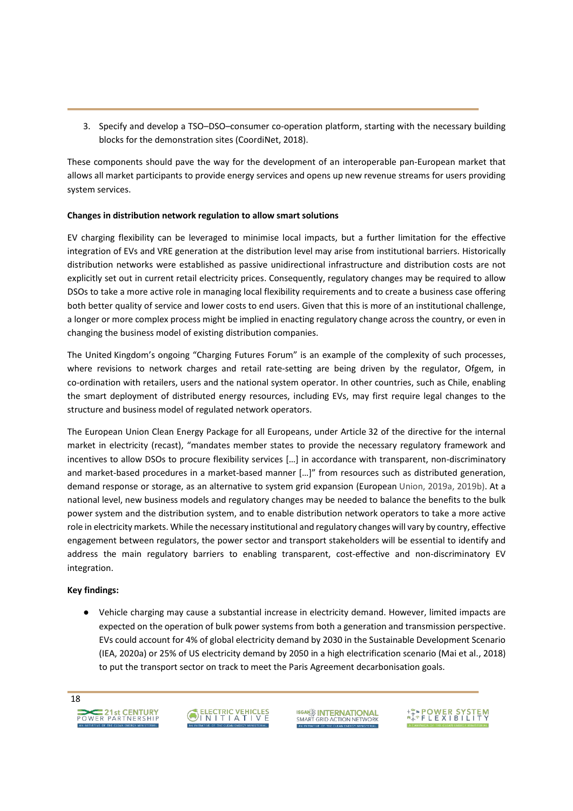3. Specify and develop a TSO-DSO-consumer co-operation platform, starting with the necessary building blocks for the demonstration sites (CoordiNet, 2018).

These components should pave the way for the development of an interoperable pan-European market that allows all market participants to provide energy services and opens up new revenue streams for users providing system services.

#### **Changes in distribution network regulation to allow smart solutions**

EV charging flexibility can be leveraged to minimise local impacts, but a further limitation for the effective integration of EVs and VRE generation at the distribution level may arise from institutional barriers. Historically distribution networks were established as passive unidirectional infrastructure and distribution costs are not explicitly set out in current retail electricity prices. Consequently, regulatory changes may be required to allow DSOs to take a more active role in managing local flexibility requirements and to create a business case offering both better quality of service and lower costs to end users. Given that this is more of an institutional challenge, a longer or more complex process might be implied in enacting regulatory change across the country, or even in changing the business model of existing distribution companies.

The United Kingdom's ongoing "Charging Futures Forum" is an example of the complexity of such processes, where revisions to network charges and retail rate-setting are being driven by the regulator, Ofgem, in co-ordination with retailers, users and the national system operator. In other countries, such as Chile, enabling the smart deployment of distributed energy resources, including EVs, may first require legal changes to the structure and business model of regulated network operators.

The European Union Clean Energy Package for all Europeans, under Article 32 of the directive for the internal market in electricity (recast), "mandates member states to provide the necessary regulatory framework and incentives to allow DSOs to procure flexibility services [...] in accordance with transparent, non-discriminatory and market-based procedures in a market-based manner [...]<sup>n</sup> from resources such as distributed generation, demand response or storage, as an alternative to system grid expansion (European Union, 2019a, 2019b). At a national level, new business models and regulatory changes may be needed to balance the benefits to the bulk power system and the distribution system, and to enable distribution network operators to take a more active role in electricity markets. While the necessary institutional and regulatory changes will vary by country, effective engagement between regulators, the power sector and transport stakeholders will be essential to identify and address the main regulatory barriers to enabling transparent, cost-effective and non-discriminatory EV integration.

#### **Key findings:**

භ Vehicle charging may cause a substantial increase in electricity demand. However, limited impacts are expected on the operation of bulk power systems from both a generation and transmission perspective. EVs could account for 4% of global electricity demand by 2030 in the Sustainable Development Scenario (IEA, 2020a) or 25% of US electricity demand by 2050 in a high electrification scenario (Mai et al., 2018) to put the transport sector on track to meet the Paris Agreement decarbonisation goals.





**ISGAN<sup>2</sup> INTERNATIONAL**<br>SMART GRID ACTION NETWORK

**ARA POWER SYSTEM**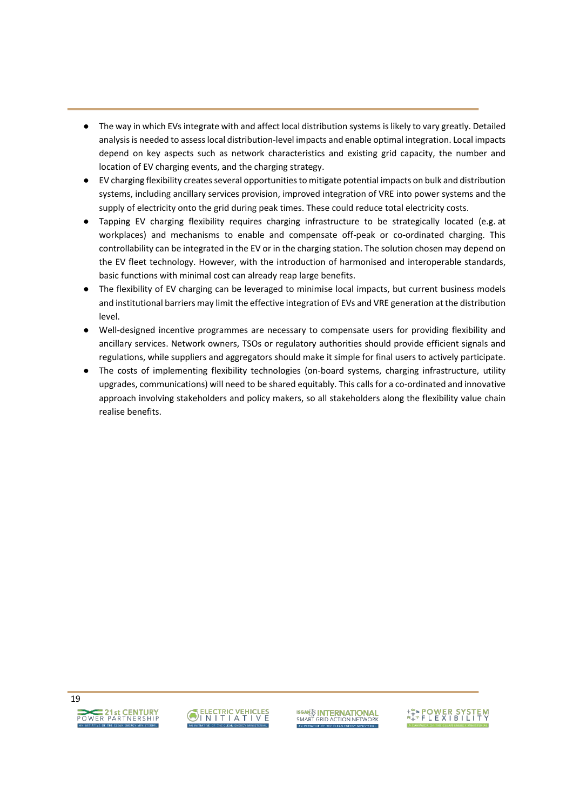- The way in which EVs integrate with and affect local distribution systems is likely to vary greatly. Detailed analysis is needed to assess local distribution-level impacts and enable optimal integration. Local impacts depend on key aspects such as network characteristics and existing grid capacity, the number and location of EV charging events, and the charging strategy.
- භ EV charging flexibility creates several opportunities to mitigate potential impacts on bulk and distribution systems, including ancillary services provision, improved integration of VRE into power systems and the supply of electricity onto the grid during peak times. These could reduce total electricity costs.
- භ Tapping EV charging flexibility requires charging infrastructure to be strategically located (e.g. at workplaces) and mechanisms to enable and compensate off-peak or co-ordinated charging. This controllability can be integrated in the EV or in the charging station. The solution chosen may depend on the EV fleet technology. However, with the introduction of harmonised and interoperable standards, basic functions with minimal cost can already reap large benefits.
- The flexibility of EV charging can be leveraged to minimise local impacts, but current business models and institutional barriers may limit the effective integration of EVs and VRE generation at the distribution level.
- භ Well-designed incentive programmes are necessary to compensate users for providing flexibility and ancillary services. Network owners, TSOs or regulatory authorities should provide efficient signals and regulations, while suppliers and aggregators should make it simple for final users to actively participate.
- භ The costs of implementing flexibility technologies (on-board systems, charging infrastructure, utility upgrades, communications) will need to be shared equitably. This calls for a co-ordinated and innovative approach involving stakeholders and policy makers, so all stakeholders along the flexibility value chain realise benefits.



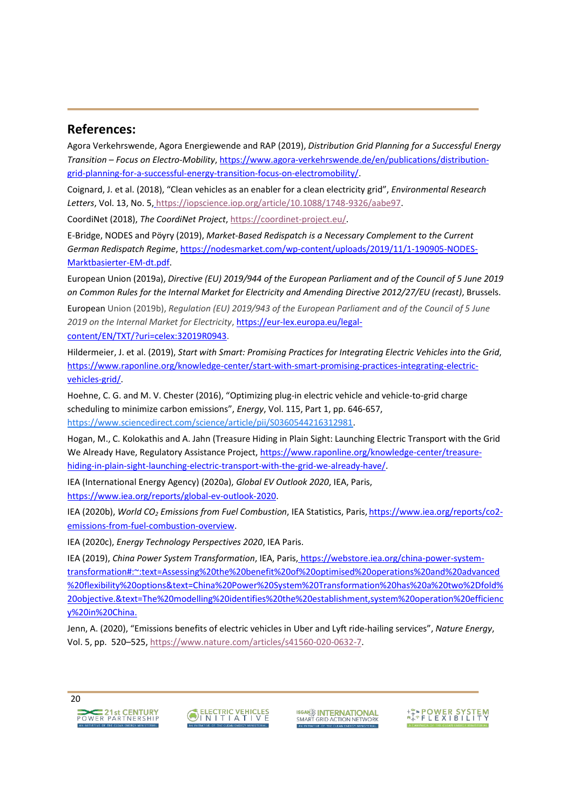### **References:**

Agora Verkehrswende, Agora Energiewende and RAP (2019), *Distribution Grid Planning for a Successful Energy Transition ʹ Focus on Electro-Mobility*, [https://www.agora-verkehrswende.de/en/publications/distribution](https://www.agora-verkehrswende.de/en/publications/distribution-grid-planning-for-a-successful-energy-transition-focus-on-electromobility/)[grid-planning-for-a-successful-energy-transition-focus-on-electromobility/.](https://www.agora-verkehrswende.de/en/publications/distribution-grid-planning-for-a-successful-energy-transition-focus-on-electromobility/)

Coignard, J. et al. (2018), ͞Clean vehicles as an enabler for a clean electricity grid͕͟*Environmental Research Letters*, Vol. 13, No. 5[,](file:///C:/Users/gutierreztavarez_e/AppData/Local/Microsoft/Windows/INetCache/Content.Outlook/1RIDBV90/) [https://iopscience.iop.org/article/10.1088/1748-9326/aabe97.](file:///C:/Users/gutierreztavarez_e/AppData/Local/Microsoft/Windows/INetCache/Content.Outlook/1RIDBV90/)

CoordiNet (2018), *The CoordiNet Project*[,](https://coordinet-project.eu/) [https://coordinet-project.eu/.](https://coordinet-project.eu/)

E-Bridge, NODES and Pöyry (2019), *Market-Based Redispatch is a Necessary Complement to the Current German Redispatch Regime*[, https://nodesmarket.com/wp-content/uploads/2019/11/1-190905-NODES-](https://nodesmarket.com/wp-content/uploads/2019/11/1-190905-NODES-Marktbasierter-EM-dt.pdf)[Marktbasierter-EM-dt.pdf.](https://nodesmarket.com/wp-content/uploads/2019/11/1-190905-NODES-Marktbasierter-EM-dt.pdf)

European Union (2019a), *Directive (EU) 2019/944 of the European Parliament and of the Council of 5 June 2019 on Common Rules for the Internal Market for Electricity and Amending Directive 2012/27/EU (recast)*, Brussels.

European Union (2019b), *Regulation (EU) 2019/943 of the European Parliament and of the Council of 5 June 2019 on the Internal Market for Electricity*, [https://eur-lex.europa.eu/legal](https://eur-lex.europa.eu/legal-content/EN/TXT/?uri=celex:32019R0943)[content/EN/TXT/?uri=celex:32019R0943.](https://eur-lex.europa.eu/legal-content/EN/TXT/?uri=celex:32019R0943)

Hildermeier, J. et al. (2019), *Start with Smart: Promising Practices for Integrating Electric Vehicles into the Grid*, [https://www.raponline.org/knowledge-center/start-with-smart-promising-practices-integrating-electric](https://www.raponline.org/knowledge-center/start-with-smart-promising-practices-integrating-electric-vehicles-grid/)[vehicles-grid/.](https://www.raponline.org/knowledge-center/start-with-smart-promising-practices-integrating-electric-vehicles-grid/)

Hoehne, C. G. and M. V. Chester (2016), "Optimizing plug-in electric vehicle and vehicle-to-grid charge scheduling to minimize carbon emissions", *Energy*, Vol. 115, Part 1, pp. 646-657, [https://www.sciencedirect.com/science/article/pii/S0360544216312981.](https://www.sciencedirect.com/science/article/pii/S0360544216312981)

Hogan, M., C. Kolokathis and A. Jahn (Treasure Hiding in Plain Sight: Launching Electric Transport with the Grid We Already Have, Regulatory Assistance Project[, https://www.raponline.org/knowledge-center/treasure](https://www.raponline.org/knowledge-center/treasure-hiding-in-plain-sight-launching-electric-transport-with-the-grid-we-already-have/)[hiding-in-plain-sight-launching-electric-transport-with-the-grid-we-already-have/.](https://www.raponline.org/knowledge-center/treasure-hiding-in-plain-sight-launching-electric-transport-with-the-grid-we-already-have/)

IEA (International Energy Agency) (2020a), *Global EV Outlook 2020*, IEA, Paris, [https://www.iea.org/reports/global-ev-outlook-2020.](https://www.iea.org/reports/global-ev-outlook-2020)

IEA (2020b), *World CO2 Emissions from Fuel Combustion*, IEA Statistics, Paris, [https://www.iea.org/reports/co2](https://www.iea.org/reports/co2-emissions-from-fuel-combustion-overview) [emissions-from-fuel-combustion-overview.](https://www.iea.org/reports/co2-emissions-from-fuel-combustion-overview)

IEA (2020c), *Energy Technology Perspectives 2020*, IEA Paris.

IEA (2019), *China Power System Transformation*, IEA, Paris[,](file:///C:/Users/gutierreztavarez_e/AppData/Local/Microsoft/Windows/INetCache/Content.Outlook/1RIDBV90/) [https://webstore.iea.org/china-power-system](file:///C:/Users/gutierreztavarez_e/AppData/Local/Microsoft/Windows/INetCache/Content.Outlook/1RIDBV90/)[transformation#:~:text=Assessing%20the%20benefit%20of%20optimised%20operations%20and%20advanced](https://webstore.iea.org/china-power-system-transformation#:~:text=Assessing%20the%20benefit%20of%20optimised%20operations%20and%20advanced%20flexibility%20options&text=China%20Power%20System%20Transformation%20has%20a%20two%2Dfold%20objective.&text=The%20modelling%20identifies%20the%20establishment,system%20operation%20efficiency%20in%20China.) [%20flexibility%20options&text=China%20Power%20System%20Transformation%20has%20a%20two%2Dfold%](https://webstore.iea.org/china-power-system-transformation#:~:text=Assessing%20the%20benefit%20of%20optimised%20operations%20and%20advanced%20flexibility%20options&text=China%20Power%20System%20Transformation%20has%20a%20two%2Dfold%20objective.&text=The%20modelling%20identifies%20the%20establishment,system%20operation%20efficiency%20in%20China.) [20objective.&text=The%20modelling%20identifies%20the%20establishment,system%20operation%20efficienc](https://webstore.iea.org/china-power-system-transformation#:~:text=Assessing%20the%20benefit%20of%20optimised%20operations%20and%20advanced%20flexibility%20options&text=China%20Power%20System%20Transformation%20has%20a%20two%2Dfold%20objective.&text=The%20modelling%20identifies%20the%20establishment,system%20operation%20efficiency%20in%20China.) [y%20in%20China.](https://webstore.iea.org/china-power-system-transformation#:~:text=Assessing%20the%20benefit%20of%20optimised%20operations%20and%20advanced%20flexibility%20options&text=China%20Power%20System%20Transformation%20has%20a%20two%2Dfold%20objective.&text=The%20modelling%20identifies%20the%20establishment,system%20operation%20efficiency%20in%20China.)

Jenn, A. (2020), "Emissions benefits of electric vehicles in Uber and Lyft ride-hailing services", Nature Energy, Vol. 5, pp. 520-525, [https://www.nature.com/articles/s41560-020-0632-7.](https://www.nature.com/articles/s41560-020-0632-7)





**ISGAN<sup>22</sup> INTERNATIONAL**<br>SMART GRID ACTION NETWORK

**ARAPOWER SYSTEM**